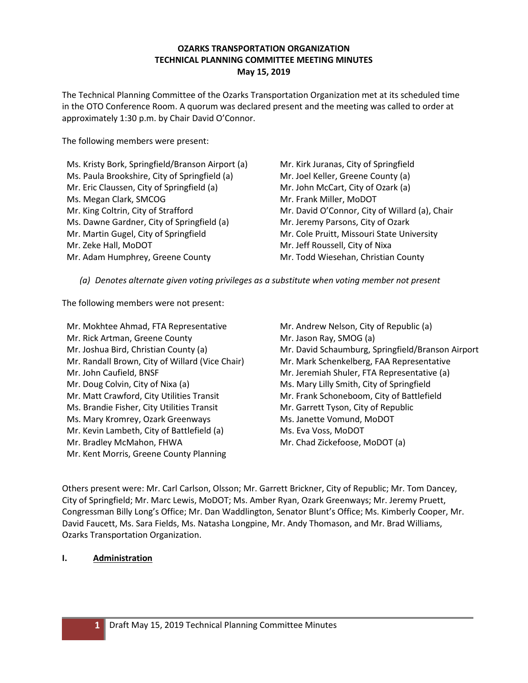## **OZARKS TRANSPORTATION ORGANIZATION TECHNICAL PLANNING COMMITTEE MEETING MINUTES May 15, 2019**

The Technical Planning Committee of the Ozarks Transportation Organization met at its scheduled time in the OTO Conference Room. A quorum was declared present and the meeting was called to order at approximately 1:30 p.m. by Chair David O'Connor.

The following members were present:

Ms. Kristy Bork, Springfield/Branson Airport (a) Ms. Paula Brookshire, City of Springfield (a) Mr. Eric Claussen, City of Springfield (a) Ms. Megan Clark, SMCOG Mr. King Coltrin, City of Strafford Ms. Dawne Gardner, City of Springfield (a) Mr. Martin Gugel, City of Springfield Mr. Zeke Hall, MoDOT Mr. Adam Humphrey, Greene County

Mr. Kirk Juranas, City of Springfield Mr. Joel Keller, Greene County (a) Mr. John McCart, City of Ozark (a) Mr. Frank Miller, MoDOT Mr. David O'Connor, City of Willard (a), Chair Mr. Jeremy Parsons, City of Ozark Mr. Cole Pruitt, Missouri State University Mr. Jeff Roussell, City of Nixa Mr. Todd Wiesehan, Christian County

*(a) Denotes alternate given voting privileges as a substitute when voting member not present*

The following members were not present:

Mr. Mokhtee Ahmad, FTA Representative Mr. Rick Artman, Greene County Mr. Joshua Bird, Christian County (a) Mr. Randall Brown, City of Willard (Vice Chair) Mr. John Caufield, BNSF Mr. Doug Colvin, City of Nixa (a) Mr. Matt Crawford, City Utilities Transit Ms. Brandie Fisher, City Utilities Transit Ms. Mary Kromrey, Ozark Greenways Mr. Kevin Lambeth, City of Battlefield (a) Mr. Bradley McMahon, FHWA Mr. Kent Morris, Greene County Planning

Mr. Andrew Nelson, City of Republic (a) Mr. Jason Ray, SMOG (a) Mr. David Schaumburg, Springfield/Branson Airport Mr. Mark Schenkelberg, FAA Representative Mr. Jeremiah Shuler, FTA Representative (a) Ms. Mary Lilly Smith, City of Springfield Mr. Frank Schoneboom, City of Battlefield Mr. Garrett Tyson, City of Republic Ms. Janette Vomund, MoDOT Ms. Eva Voss, MoDOT Mr. Chad Zickefoose, MoDOT (a)

Others present were: Mr. Carl Carlson, Olsson; Mr. Garrett Brickner, City of Republic; Mr. Tom Dancey, City of Springfield; Mr. Marc Lewis, MoDOT; Ms. Amber Ryan, Ozark Greenways; Mr. Jeremy Pruett, Congressman Billy Long's Office; Mr. Dan Waddlington, Senator Blunt's Office; Ms. Kimberly Cooper, Mr. David Faucett, Ms. Sara Fields, Ms. Natasha Longpine, Mr. Andy Thomason, and Mr. Brad Williams, Ozarks Transportation Organization.

# **I. Administration**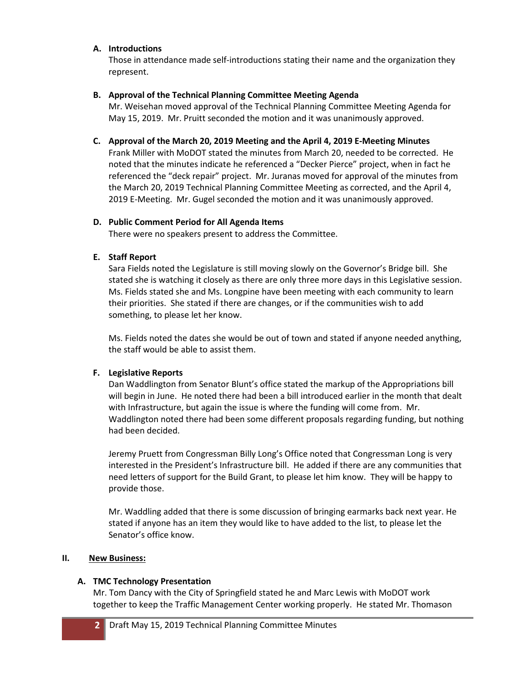### **A. Introductions**

Those in attendance made self-introductions stating their name and the organization they represent.

## **B. Approval of the Technical Planning Committee Meeting Agenda**

Mr. Weisehan moved approval of the Technical Planning Committee Meeting Agenda for May 15, 2019. Mr. Pruitt seconded the motion and it was unanimously approved.

### **C. Approval of the March 20, 2019 Meeting and the April 4, 2019 E-Meeting Minutes**

Frank Miller with MoDOT stated the minutes from March 20, needed to be corrected. He noted that the minutes indicate he referenced a "Decker Pierce" project, when in fact he referenced the "deck repair" project. Mr. Juranas moved for approval of the minutes from the March 20, 2019 Technical Planning Committee Meeting as corrected, and the April 4, 2019 E-Meeting. Mr. Gugel seconded the motion and it was unanimously approved.

### **D. Public Comment Period for All Agenda Items**

There were no speakers present to address the Committee.

# **E. Staff Report**

Sara Fields noted the Legislature is still moving slowly on the Governor's Bridge bill. She stated she is watching it closely as there are only three more days in this Legislative session. Ms. Fields stated she and Ms. Longpine have been meeting with each community to learn their priorities. She stated if there are changes, or if the communities wish to add something, to please let her know.

Ms. Fields noted the dates she would be out of town and stated if anyone needed anything, the staff would be able to assist them.

# **F. Legislative Reports**

Dan Waddlington from Senator Blunt's office stated the markup of the Appropriations bill will begin in June. He noted there had been a bill introduced earlier in the month that dealt with Infrastructure, but again the issue is where the funding will come from. Mr. Waddlington noted there had been some different proposals regarding funding, but nothing had been decided.

Jeremy Pruett from Congressman Billy Long's Office noted that Congressman Long is very interested in the President's Infrastructure bill. He added if there are any communities that need letters of support for the Build Grant, to please let him know. They will be happy to provide those.

Mr. Waddling added that there is some discussion of bringing earmarks back next year. He stated if anyone has an item they would like to have added to the list, to please let the Senator's office know.

# **II. New Business:**

# **A. TMC Technology Presentation**

Mr. Tom Dancy with the City of Springfield stated he and Marc Lewis with MoDOT work together to keep the Traffic Management Center working properly. He stated Mr. Thomason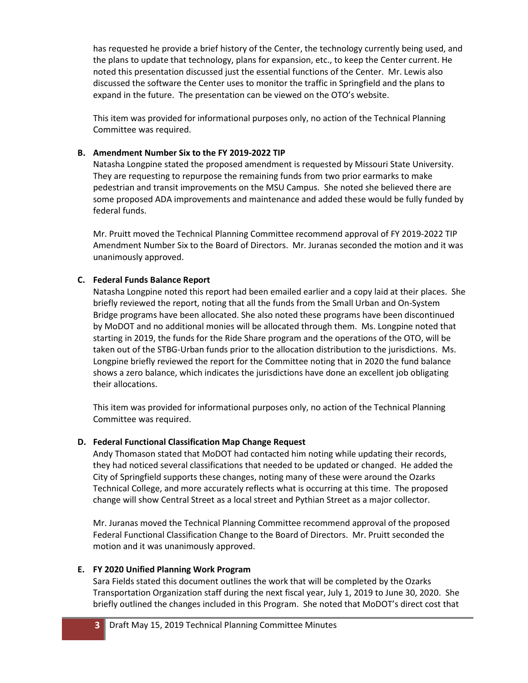has requested he provide a brief history of the Center, the technology currently being used, and the plans to update that technology, plans for expansion, etc., to keep the Center current. He noted this presentation discussed just the essential functions of the Center. Mr. Lewis also discussed the software the Center uses to monitor the traffic in Springfield and the plans to expand in the future. The presentation can be viewed on the OTO's website.

This item was provided for informational purposes only, no action of the Technical Planning Committee was required.

### **B. Amendment Number Six to the FY 2019-2022 TIP**

Natasha Longpine stated the proposed amendment is requested by Missouri State University. They are requesting to repurpose the remaining funds from two prior earmarks to make pedestrian and transit improvements on the MSU Campus. She noted she believed there are some proposed ADA improvements and maintenance and added these would be fully funded by federal funds.

Mr. Pruitt moved the Technical Planning Committee recommend approval of FY 2019-2022 TIP Amendment Number Six to the Board of Directors. Mr. Juranas seconded the motion and it was unanimously approved.

# **C. Federal Funds Balance Report**

Natasha Longpine noted this report had been emailed earlier and a copy laid at their places. She briefly reviewed the report, noting that all the funds from the Small Urban and On-System Bridge programs have been allocated. She also noted these programs have been discontinued by MoDOT and no additional monies will be allocated through them. Ms. Longpine noted that starting in 2019, the funds for the Ride Share program and the operations of the OTO, will be taken out of the STBG-Urban funds prior to the allocation distribution to the jurisdictions. Ms. Longpine briefly reviewed the report for the Committee noting that in 2020 the fund balance shows a zero balance, which indicates the jurisdictions have done an excellent job obligating their allocations.

This item was provided for informational purposes only, no action of the Technical Planning Committee was required.

# **D. Federal Functional Classification Map Change Request**

Andy Thomason stated that MoDOT had contacted him noting while updating their records, they had noticed several classifications that needed to be updated or changed. He added the City of Springfield supports these changes, noting many of these were around the Ozarks Technical College, and more accurately reflects what is occurring at this time. The proposed change will show Central Street as a local street and Pythian Street as a major collector.

Mr. Juranas moved the Technical Planning Committee recommend approval of the proposed Federal Functional Classification Change to the Board of Directors. Mr. Pruitt seconded the motion and it was unanimously approved.

### **E. FY 2020 Unified Planning Work Program**

Sara Fields stated this document outlines the work that will be completed by the Ozarks Transportation Organization staff during the next fiscal year, July 1, 2019 to June 30, 2020. She briefly outlined the changes included in this Program. She noted that MoDOT's direct cost that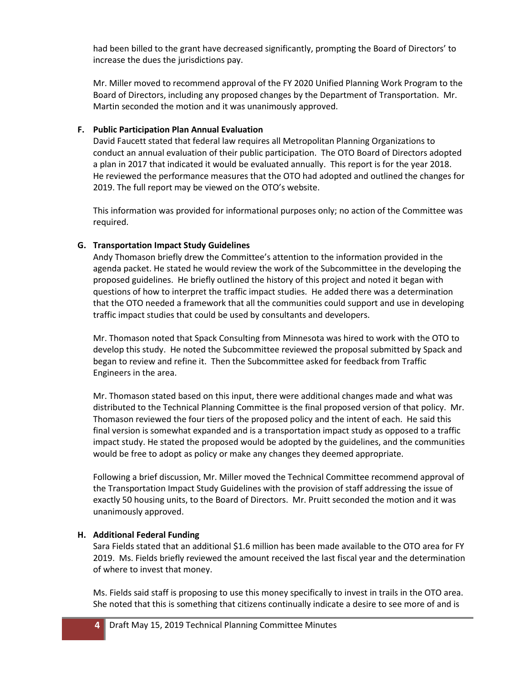had been billed to the grant have decreased significantly, prompting the Board of Directors' to increase the dues the jurisdictions pay.

Mr. Miller moved to recommend approval of the FY 2020 Unified Planning Work Program to the Board of Directors, including any proposed changes by the Department of Transportation. Mr. Martin seconded the motion and it was unanimously approved.

#### **F. Public Participation Plan Annual Evaluation**

David Faucett stated that federal law requires all Metropolitan Planning Organizations to conduct an annual evaluation of their public participation. The OTO Board of Directors adopted a plan in 2017 that indicated it would be evaluated annually. This report is for the year 2018. He reviewed the performance measures that the OTO had adopted and outlined the changes for 2019. The full report may be viewed on the OTO's website.

This information was provided for informational purposes only; no action of the Committee was required.

#### **G. Transportation Impact Study Guidelines**

Andy Thomason briefly drew the Committee's attention to the information provided in the agenda packet. He stated he would review the work of the Subcommittee in the developing the proposed guidelines. He briefly outlined the history of this project and noted it began with questions of how to interpret the traffic impact studies. He added there was a determination that the OTO needed a framework that all the communities could support and use in developing traffic impact studies that could be used by consultants and developers.

Mr. Thomason noted that Spack Consulting from Minnesota was hired to work with the OTO to develop this study. He noted the Subcommittee reviewed the proposal submitted by Spack and began to review and refine it. Then the Subcommittee asked for feedback from Traffic Engineers in the area.

Mr. Thomason stated based on this input, there were additional changes made and what was distributed to the Technical Planning Committee is the final proposed version of that policy. Mr. Thomason reviewed the four tiers of the proposed policy and the intent of each. He said this final version is somewhat expanded and is a transportation impact study as opposed to a traffic impact study. He stated the proposed would be adopted by the guidelines, and the communities would be free to adopt as policy or make any changes they deemed appropriate.

Following a brief discussion, Mr. Miller moved the Technical Committee recommend approval of the Transportation Impact Study Guidelines with the provision of staff addressing the issue of exactly 50 housing units, to the Board of Directors. Mr. Pruitt seconded the motion and it was unanimously approved.

#### **H. Additional Federal Funding**

Sara Fields stated that an additional \$1.6 million has been made available to the OTO area for FY 2019. Ms. Fields briefly reviewed the amount received the last fiscal year and the determination of where to invest that money.

Ms. Fields said staff is proposing to use this money specifically to invest in trails in the OTO area. She noted that this is something that citizens continually indicate a desire to see more of and is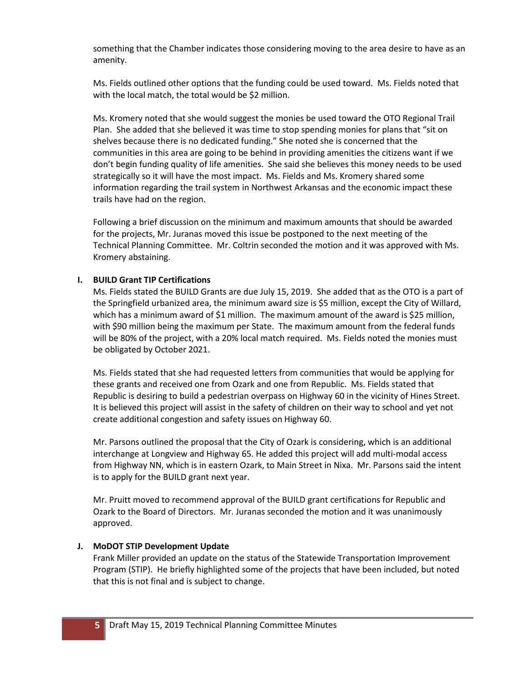something that the Chamber indicates those considering moving to the area desire to have as an amenity.

Ms. Fields outlined other options that the funding could be used toward. Ms. Fields noted that with the local match, the total would be \$2 million.

Ms. Kromery noted that she would suggest the monies be used toward the OTO Regional Trail Plan. She added that she believed it was time to stop spending monies for plans that "sit on shelves because there is no dedicated funding." She noted she is concerned that the communities in this area are going to be behind in providing amenities the citizens want if we don't begin funding quality of life amenities. She said she believes this money needs to be used strategically so it will have the most impact. Ms. Fields and Ms. Kromery shared some information regarding the trail system in Northwest Arkansas and the economic impact these trails have had on the region.

Following a brief discussion on the minimum and maximum amounts that should be awarded for the projects, Mr. Juranas moved this issue be postponed to the next meeting of the Technical Planning Committee. Mr. Coltrin seconded the motion and it was approved with Ms. Kromery abstaining.

### **I. BUILD Grant TIP Certifications**

Ms. Fields stated the BUILD Grants are due July 15, 2019. She added that as the OTO is a part of the Springfield urbanized area, the minimum award size is \$5 million, except the City of Willard, which has a minimum award of \$1 million. The maximum amount of the award is \$25 million, with \$90 million being the maximum per State. The maximum amount from the federal funds will be 80% of the project, with a 20% local match required. Ms. Fields noted the monies must be obligated by October 2021.

Ms. Fields stated that she had requested letters from communities that would be applying for these grants and received one from Ozark and one from Republic. Ms. Fields stated that Republic is desiring to build a pedestrian overpass on Highway 60 in the vicinity of Hines Street. It is believed this project will assist in the safety of children on their way to school and yet not create additional congestion and safety issues on Highway 60.

Mr. Parsons outlined the proposal that the City of Ozark is considering, which is an additional interchange at Longview and Highway 65. He added this project will add multi-modal access from Highway NN, which is in eastern Ozark, to Main Street in Nixa. Mr. Parsons said the intent is to apply for the BUILD grant next year.

Mr. Pruitt moved to recommend approval of the BUILD grant certifications for Republic and Ozark to the Board of Directors. Mr. Juranas seconded the motion and it was unanimously approved.

### **J. MoDOT STIP Development Update**

Frank Miller provided an update on the status of the Statewide Transportation Improvement Program (STIP). He briefly highlighted some of the projects that have been included, but noted that this is not final and is subject to change.